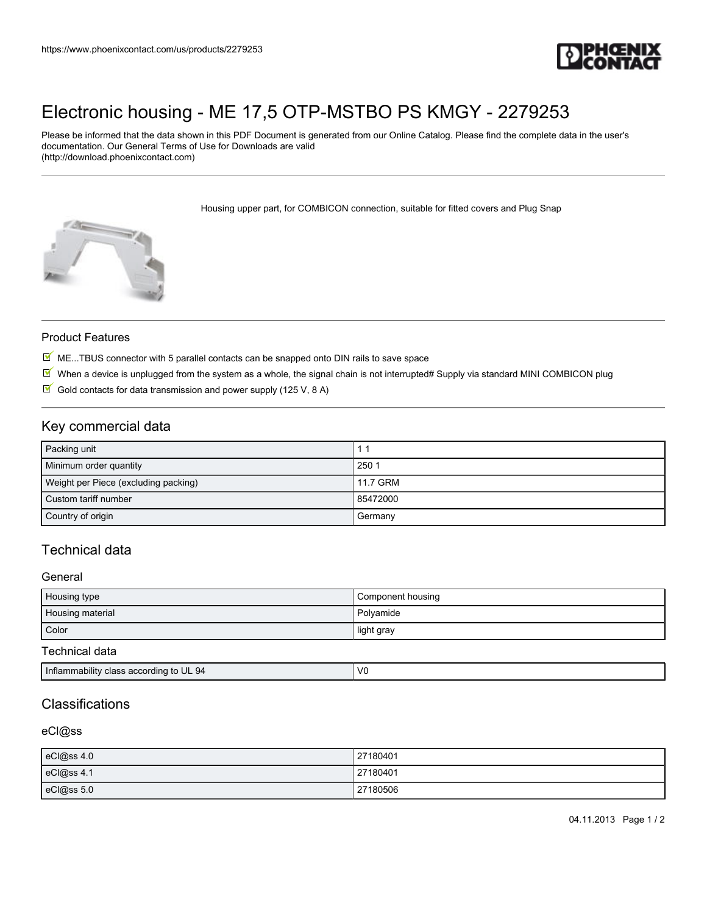

# [Electronic housing - ME 17,5 OTP-MSTBO PS KMGY - 2279253](https://www.phoenixcontact.com/us/products/2279253)

Please be informed that the data shown in this PDF Document is generated from our Online Catalog. Please find the complete data in the user's documentation. Our General Terms of Use for Downloads are valid (http://download.phoenixcontact.com)

Housing upper part, for COMBICON connection, suitable for fitted covers and Plug Snap



### Product Features

- $M$  ME...TBUS connector with 5 parallel contacts can be snapped onto DIN rails to save space
- $\overline{M}$  When a device is unplugged from the system as a whole, the signal chain is not interrupted# Supply via standard MINI COMBICON plug
- $\boxtimes$  Gold contacts for data transmission and power supply (125 V, 8 A)

## Key commercial data

| Packing unit                         |          |
|--------------------------------------|----------|
| Minimum order quantity               | 250 1    |
| Weight per Piece (excluding packing) | 11.7 GRM |
| Custom tariff number                 | 85472000 |
| Country of origin                    | Germany  |

# Technical data

#### General

| Housing type     | Component housing |
|------------------|-------------------|
| Housing material | Polyamide         |
| Color            | light gray        |

#### Technical data

|  | Inflammability class according to UL 94 | $\mathcal{U}$ |
|--|-----------------------------------------|---------------|
|--|-----------------------------------------|---------------|

# Classifications

### eCl@ss

| eCl@ss 4.0 | 27180401 |
|------------|----------|
| eCl@ss 4.1 | 27180401 |
| eCl@ss 5.0 | 27180506 |